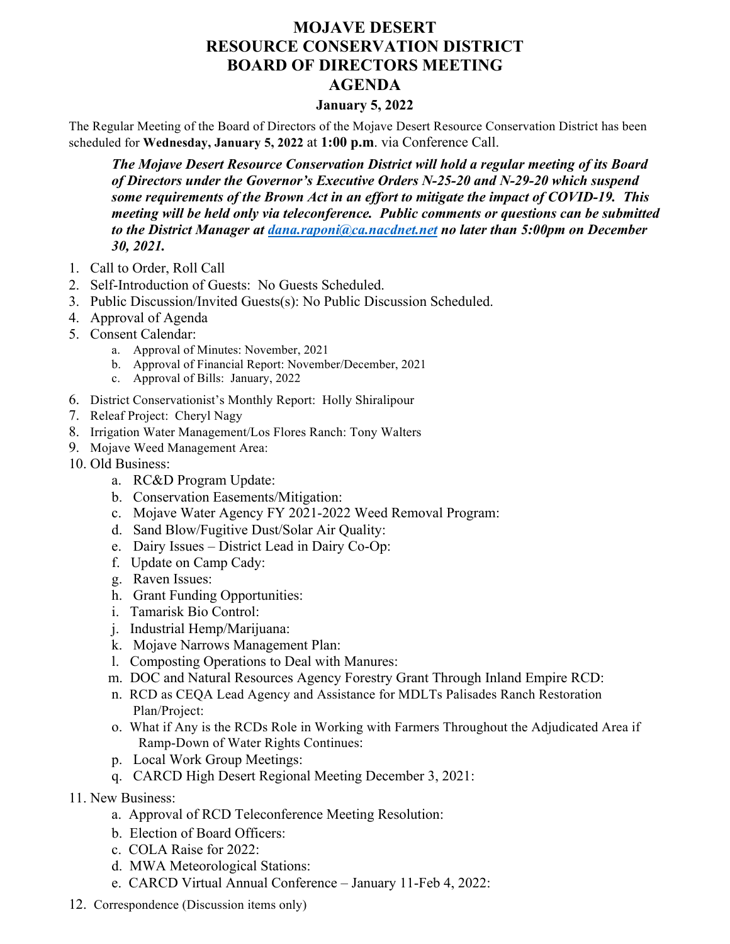## **MOJAVE DESERT RESOURCE CONSERVATION DISTRICT BOARD OF DIRECTORS MEETING AGENDA**

## **January 5, 2022**

The Regular Meeting of the Board of Directors of the Mojave Desert Resource Conservation District has been scheduled for **Wednesday, January 5, 2022** at **1:00 p.m**. via Conference Call.

*The Mojave Desert Resource Conservation District will hold a regular meeting of its Board of Directors under the Governor's Executive Orders N-25-20 and N-29-20 which suspend some requirements of the Brown Act in an effort to mitigate the impact of COVID-19. This meeting will be held only via teleconference. Public comments or questions can be submitted to the District Manager at dana.raponi@ca.nacdnet.net no later than 5:00pm on December 30, 2021.*

- 1. Call to Order, Roll Call
- 2. Self-Introduction of Guests: No Guests Scheduled.
- 3. Public Discussion/Invited Guests(s): No Public Discussion Scheduled.
- 4. Approval of Agenda
- 5. Consent Calendar:
	- a. Approval of Minutes: November, 2021
	- b. Approval of Financial Report: November/December, 2021
	- c. Approval of Bills: January, 2022
- 6. District Conservationist's Monthly Report: Holly Shiralipour
- 7. Releaf Project: Cheryl Nagy
- 8. Irrigation Water Management/Los Flores Ranch: Tony Walters
- 9. Mojave Weed Management Area:
- 10. Old Business:
	- a. RC&D Program Update:
	- b. Conservation Easements/Mitigation:
	- c. Mojave Water Agency FY 2021-2022 Weed Removal Program:
	- d. Sand Blow/Fugitive Dust/Solar Air Quality:
	- e. Dairy Issues District Lead in Dairy Co-Op:
	- f. Update on Camp Cady:
	- g. Raven Issues:
	- h. Grant Funding Opportunities:
	- i. Tamarisk Bio Control:
	- j. Industrial Hemp/Marijuana:
	- k. Mojave Narrows Management Plan:
	- l. Composting Operations to Deal with Manures:
	- m. DOC and Natural Resources Agency Forestry Grant Through Inland Empire RCD:
	- n. RCD as CEQA Lead Agency and Assistance for MDLTs Palisades Ranch Restoration Plan/Project:
	- o. What if Any is the RCDs Role in Working with Farmers Throughout the Adjudicated Area if Ramp-Down of Water Rights Continues:
	- p. Local Work Group Meetings:
	- q. CARCD High Desert Regional Meeting December 3, 2021:
- 11. New Business:
	- a. Approval of RCD Teleconference Meeting Resolution:
	- b. Election of Board Officers:
	- c. COLA Raise for 2022:
	- d. MWA Meteorological Stations:
	- e. CARCD Virtual Annual Conference January 11-Feb 4, 2022:
- 12. Correspondence (Discussion items only)